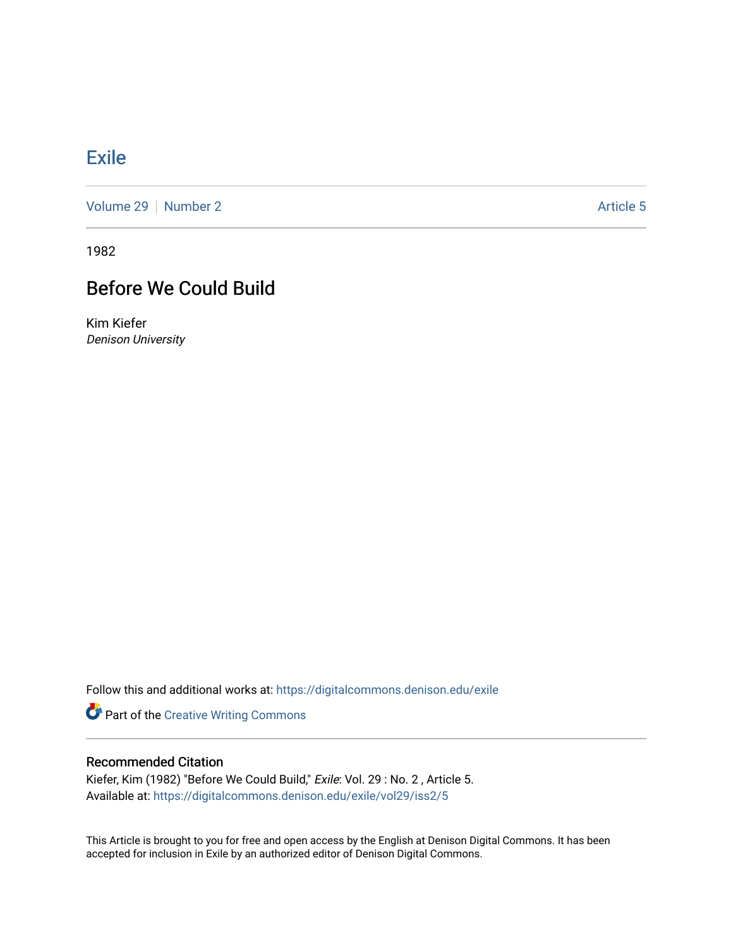## **[Exile](https://digitalcommons.denison.edu/exile)**

[Volume 29](https://digitalcommons.denison.edu/exile/vol29) | [Number 2](https://digitalcommons.denison.edu/exile/vol29/iss2) Article 5

1982

## Before We Could Build

Kim Kiefer Denison University

Follow this and additional works at: [https://digitalcommons.denison.edu/exile](https://digitalcommons.denison.edu/exile?utm_source=digitalcommons.denison.edu%2Fexile%2Fvol29%2Fiss2%2F5&utm_medium=PDF&utm_campaign=PDFCoverPages) 

Part of the [Creative Writing Commons](http://network.bepress.com/hgg/discipline/574?utm_source=digitalcommons.denison.edu%2Fexile%2Fvol29%2Fiss2%2F5&utm_medium=PDF&utm_campaign=PDFCoverPages) 

## Recommended Citation

Kiefer, Kim (1982) "Before We Could Build," Exile: Vol. 29 : No. 2 , Article 5. Available at: [https://digitalcommons.denison.edu/exile/vol29/iss2/5](https://digitalcommons.denison.edu/exile/vol29/iss2/5?utm_source=digitalcommons.denison.edu%2Fexile%2Fvol29%2Fiss2%2F5&utm_medium=PDF&utm_campaign=PDFCoverPages) 

This Article is brought to you for free and open access by the English at Denison Digital Commons. It has been accepted for inclusion in Exile by an authorized editor of Denison Digital Commons.